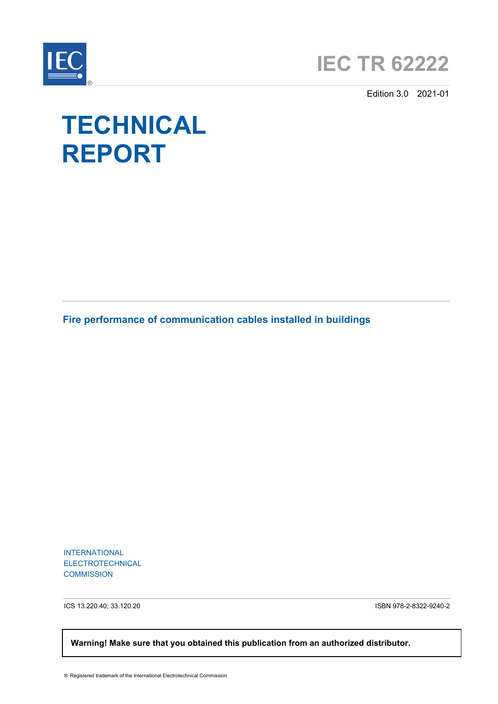



Edition 3.0 2021-01

# **TECHNICAL REPORT**

**Fire performance of communication cables installed in buildings**

INTERNATIONAL ELECTROTECHNICAL **COMMISSION** 

ICS 13.220.40; 33.120.20 ISBN 978-2-8322-9240-2

 **Warning! Make sure that you obtained this publication from an authorized distributor.**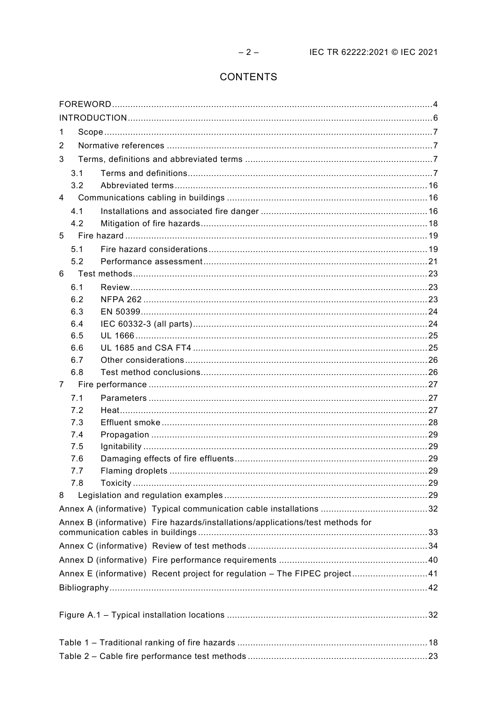# CONTENTS

| 1                                                                              |  |
|--------------------------------------------------------------------------------|--|
| 2                                                                              |  |
| 3                                                                              |  |
| 3.1                                                                            |  |
| 3.2                                                                            |  |
| 4                                                                              |  |
| 4.1                                                                            |  |
| 4.2                                                                            |  |
| 5                                                                              |  |
| 5.1                                                                            |  |
| 5.2                                                                            |  |
| 6                                                                              |  |
| 6.1                                                                            |  |
| 6.2                                                                            |  |
| 6.3                                                                            |  |
| 6.4                                                                            |  |
| 6.5                                                                            |  |
| 6.6                                                                            |  |
| 6.7                                                                            |  |
| 6.8                                                                            |  |
| $\overline{7}$                                                                 |  |
| 7.1                                                                            |  |
| 7.2                                                                            |  |
| 7.3                                                                            |  |
| 7.4                                                                            |  |
| 7.5                                                                            |  |
| 7.6                                                                            |  |
| 7.7                                                                            |  |
| 7.8                                                                            |  |
| 8                                                                              |  |
|                                                                                |  |
| Annex B (informative) Fire hazards/installations/applications/test methods for |  |
|                                                                                |  |
|                                                                                |  |
|                                                                                |  |
| Annex E (informative) Recent project for regulation - The FIPEC project41      |  |
|                                                                                |  |
|                                                                                |  |
|                                                                                |  |
|                                                                                |  |
|                                                                                |  |
|                                                                                |  |
|                                                                                |  |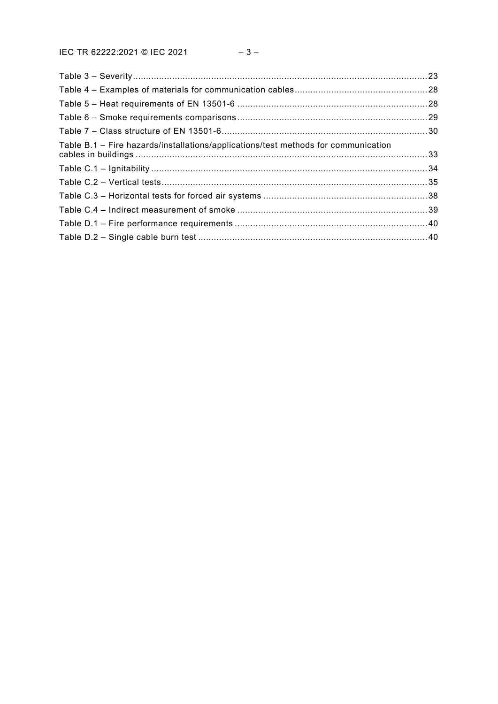| Table B.1 – Fire hazards/installations/applications/test methods for communication |  |
|------------------------------------------------------------------------------------|--|
|                                                                                    |  |
|                                                                                    |  |
|                                                                                    |  |
|                                                                                    |  |
|                                                                                    |  |
|                                                                                    |  |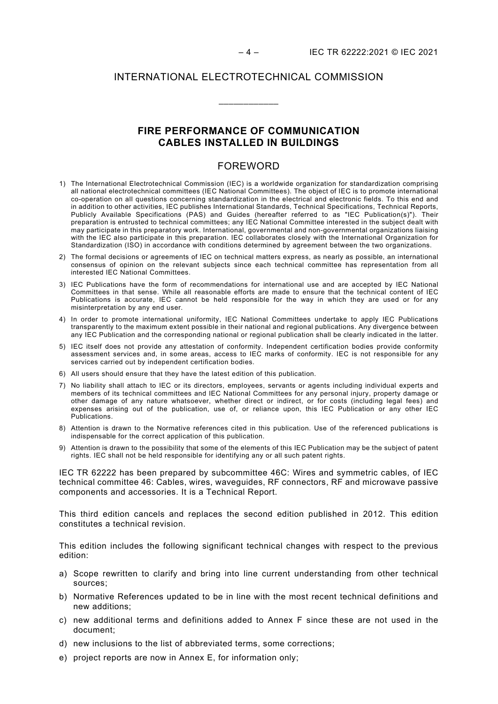### INTERNATIONAL ELECTROTECHNICAL COMMISSION

\_\_\_\_\_\_\_\_\_\_\_\_

# **FIRE PERFORMANCE OF COMMUNICATION CABLES INSTALLED IN BUILDINGS**

## FOREWORD

- <span id="page-3-0"></span>1) The International Electrotechnical Commission (IEC) is a worldwide organization for standardization comprising all national electrotechnical committees (IEC National Committees). The object of IEC is to promote international co-operation on all questions concerning standardization in the electrical and electronic fields. To this end and in addition to other activities, IEC publishes International Standards, Technical Specifications, Technical Reports, Publicly Available Specifications (PAS) and Guides (hereafter referred to as "IEC Publication(s)"). Their preparation is entrusted to technical committees; any IEC National Committee interested in the subject dealt with may participate in this preparatory work. International, governmental and non-governmental organizations liaising with the IEC also participate in this preparation. IEC collaborates closely with the International Organization for Standardization (ISO) in accordance with conditions determined by agreement between the two organizations.
- 2) The formal decisions or agreements of IEC on technical matters express, as nearly as possible, an international consensus of opinion on the relevant subjects since each technical committee has representation from all interested IEC National Committees.
- 3) IEC Publications have the form of recommendations for international use and are accepted by IEC National Committees in that sense. While all reasonable efforts are made to ensure that the technical content of IEC Publications is accurate, IEC cannot be held responsible for the way in which they are used or for any misinterpretation by any end user.
- 4) In order to promote international uniformity, IEC National Committees undertake to apply IEC Publications transparently to the maximum extent possible in their national and regional publications. Any divergence between any IEC Publication and the corresponding national or regional publication shall be clearly indicated in the latter.
- 5) IEC itself does not provide any attestation of conformity. Independent certification bodies provide conformity assessment services and, in some areas, access to IEC marks of conformity. IEC is not responsible for any services carried out by independent certification bodies.
- 6) All users should ensure that they have the latest edition of this publication.
- 7) No liability shall attach to IEC or its directors, employees, servants or agents including individual experts and members of its technical committees and IEC National Committees for any personal injury, property damage or other damage of any nature whatsoever, whether direct or indirect, or for costs (including legal fees) and expenses arising out of the publication, use of, or reliance upon, this IEC Publication or any other IEC Publications.
- 8) Attention is drawn to the Normative references cited in this publication. Use of the referenced publications is indispensable for the correct application of this publication.
- 9) Attention is drawn to the possibility that some of the elements of this IEC Publication may be the subject of patent rights. IEC shall not be held responsible for identifying any or all such patent rights.

IEC TR 62222 has been prepared by subcommittee 46C: Wires and symmetric cables, of IEC technical committee 46: Cables, wires, waveguides, RF connectors, RF and microwave passive components and accessories. It is a Technical Report.

This third edition cancels and replaces the second edition published in 2012. This edition constitutes a technical revision.

This edition includes the following significant technical changes with respect to the previous edition:

- a) Scope rewritten to clarify and bring into line current understanding from other technical sources;
- b) Normative References updated to be in line with the most recent technical definitions and new additions;
- c) new additional terms and definitions added to Annex F since these are not used in the document;
- d) new inclusions to the list of abbreviated terms, some corrections;
- e) project reports are now in Annex E, for information only;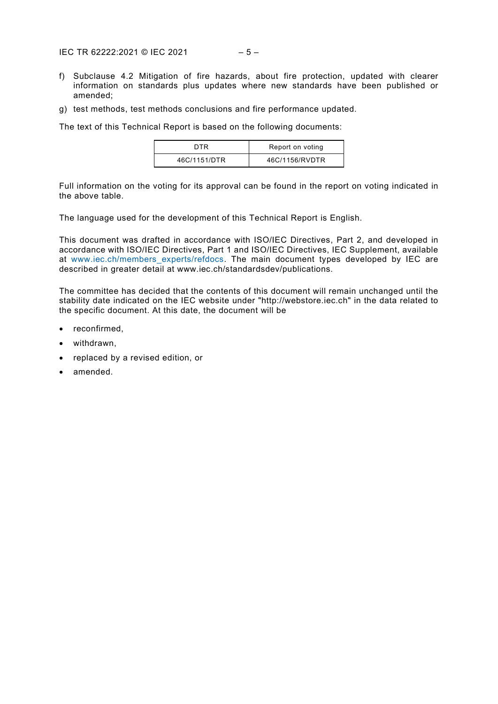- f) Subclause 4.2 Mitigation of fire hazards, about fire protection, updated with clearer information on standards plus updates where new standards have been published or amended;
- g) test methods, test methods conclusions and fire performance updated.

The text of this Technical Report is based on the following documents:

| DTR.         | Report on voting |
|--------------|------------------|
| 46C/1151/DTR | 46C/1156/RVDTR   |

Full information on the voting for its approval can be found in the report on voting indicated in the above table.

The language used for the development of this Technical Report is English.

This document was drafted in accordance with ISO/IEC Directives, Part 2, and developed in accordance with ISO/IEC Directives, Part 1 and ISO/IEC Directives, IEC Supplement, available at [www.iec.ch/members\\_experts/refdocs.](http://www.iec.ch/members_experts/refdocs) The main document types developed by IEC are described in greater detail at www.iec.ch/standardsdev/publications.

The committee has decided that the contents of this document will remain unchanged until the stability date indicated on the IEC website under "http://webstore.iec.ch" in the data related to the specific document. At this date, the document will be

- reconfirmed,
- withdrawn,
- replaced by a revised edition, or
- amended.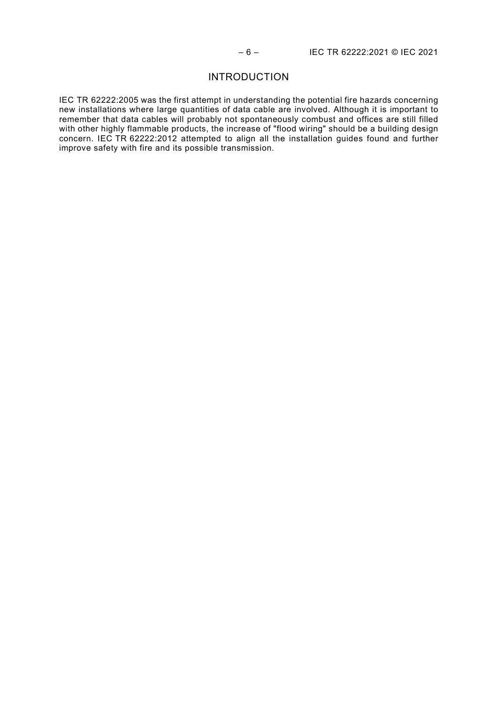#### INTRODUCTION

<span id="page-5-0"></span>IEC TR 62222:2005 was the first attempt in understanding the potential fire hazards concerning new installations where large quantities of data cable are involved. Although it is important to remember that data cables will probably not spontaneously combust and offices are still filled with other highly flammable products, the increase of "flood wiring" should be a building design concern. IEC TR 62222:2012 attempted to align all the installation guides found and further improve safety with fire and its possible transmission.